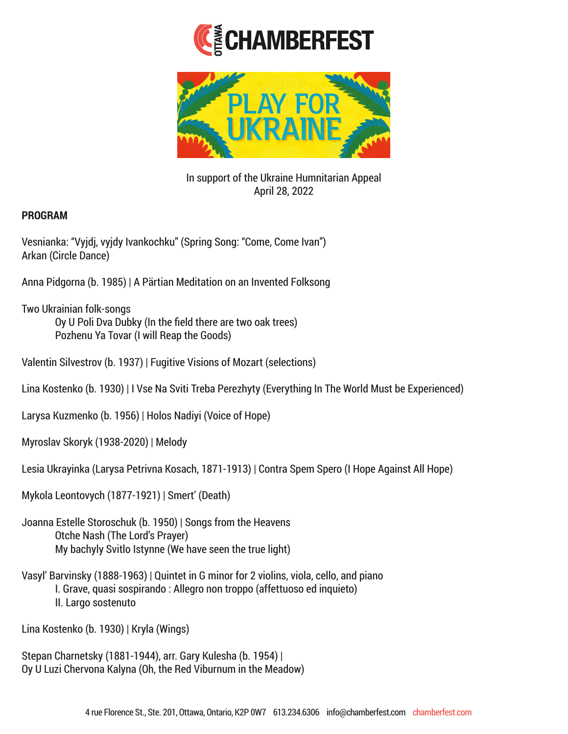



In support of the Ukraine Humnitarian Appeal April 28, 2022

## **PROGRAM**

Vesnianka: "Vyjdj, vyjdy Ivankochku" (Spring Song: "Come, Come Ivan") Arkan (Circle Dance)

Anna Pidgorna (b. 1985) | A Pärtian Meditation on an Invented Folksong

Two Ukrainian folk-songs Oy U Poli Dva Dubky (In the field there are two oak trees) Pozhenu Ya Tovar (I will Reap the Goods)

Valentin Silvestrov (b. 1937) | Fugitive Visions of Mozart (selections)

Lina Kostenko (b. 1930) | I Vse Na Sviti Treba Perezhyty (Everything In The World Must be Experienced)

Larysa Kuzmenko (b. 1956) | Holos Nadiyi (Voice of Hope)

Myroslav Skoryk (1938-2020) | Melody

Lesia Ukrayinka (Larysa Petrivna Kosach, 1871-1913) | Contra Spem Spero (I Hope Against All Hope)

Mykola Leontovych (1877-1921) | Smert' (Death)

Joanna Estelle Storoschuk (b. 1950) | Songs from the Heavens Otche Nash (The Lord's Prayer) My bachyly Svitlo Istynne (We have seen the true light)

Vasyl' Barvinsky (1888-1963) | Quintet in G minor for 2 violins, viola, cello, and piano I. Grave, quasi sospirando : Allegro non troppo (affettuoso ed inquieto) II. Largo sostenuto

Lina Kostenko (b. 1930) | Kryla (Wings)

Stepan Charnetsky (1881-1944), arr. Gary Kulesha (b. 1954) | Oy U Luzi Chervona Kalyna (Oh, the Red Viburnum in the Meadow)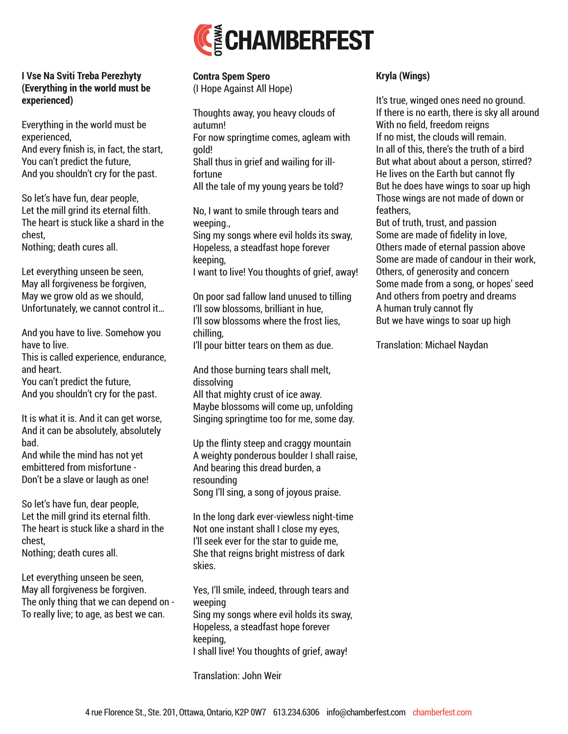

## **I Vse Na Sviti Treba Perezhyty (Everything in the world must be experienced)**

Everything in the world must be experienced, And every finish is, in fact, the start, You can't predict the future, And you shouldn't cry for the past.

So let's have fun, dear people, Let the mill grind its eternal filth. The heart is stuck like a shard in the chest,

Nothing; death cures all.

Let everything unseen be seen, May all forgiveness be forgiven, May we grow old as we should, Unfortunately, we cannot control it…

And you have to live. Somehow you have to live.

This is called experience, endurance, and heart.

You can't predict the future, And you shouldn't cry for the past.

It is what it is. And it can get worse, And it can be absolutely, absolutely bad.

And while the mind has not yet embittered from misfortune - Don't be a slave or laugh as one!

So let's have fun, dear people, Let the mill grind its eternal filth. The heart is stuck like a shard in the chest,

Nothing; death cures all.

Let everything unseen be seen, May all forgiveness be forgiven. The only thing that we can depend on - To really live; to age, as best we can.

**Contra Spem Spero** (I Hope Against All Hope)

Thoughts away, you heavy clouds of autumn! For now springtime comes, agleam with gold! Shall thus in grief and wailing for illfortune All the tale of my young years be told?

No, I want to smile through tears and weeping.,

Sing my songs where evil holds its sway, Hopeless, a steadfast hope forever keeping,

I want to live! You thoughts of grief, away!

On poor sad fallow land unused to tilling I'll sow blossoms, brilliant in hue, I'll sow blossoms where the frost lies, chilling,

I'll pour bitter tears on them as due.

And those burning tears shall melt, dissolving All that mighty crust of ice away. Maybe blossoms will come up, unfolding Singing springtime too for me, some day.

Up the flinty steep and craggy mountain A weighty ponderous boulder I shall raise, And bearing this dread burden, a resounding Song I'll sing, a song of joyous praise.

In the long dark ever-viewless night-time Not one instant shall I close my eyes, I'll seek ever for the star to guide me, She that reigns bright mistress of dark skies.

Yes, I'll smile, indeed, through tears and weeping Sing my songs where evil holds its sway, Hopeless, a steadfast hope forever keeping, I shall live! You thoughts of grief, away!

Translation: John Weir

## **Kryla (Wings)**

It's true, winged ones need no ground. If there is no earth, there is sky all around With no field, freedom reigns If no mist, the clouds will remain. In all of this, there's the truth of a bird But what about about a person, stirred? He lives on the Earth but cannot fly But he does have wings to soar up high Those wings are not made of down or feathers,

But of truth, trust, and passion Some are made of fidelity in love, Others made of eternal passion above Some are made of candour in their work, Others, of generosity and concern Some made from a song, or hopes' seed And others from poetry and dreams A human truly cannot fly But we have wings to soar up high

Translation: Michael Naydan